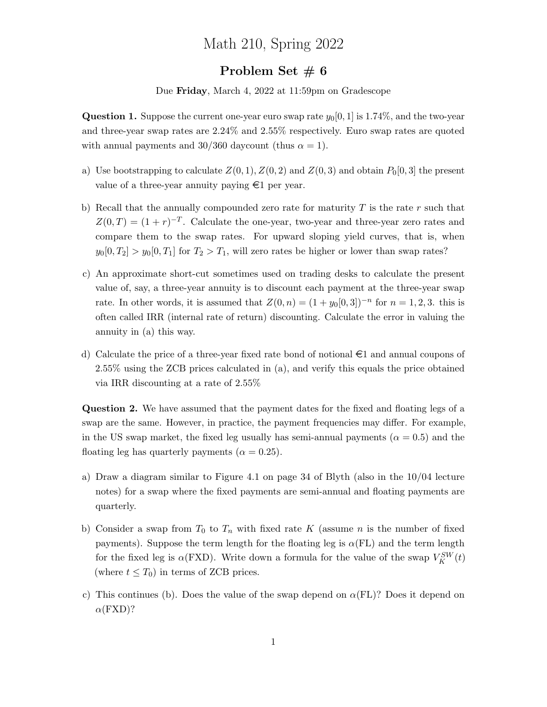## Math 210, Spring 2022

## Problem Set  $\# 6$

Due Friday, March 4, 2022 at 11:59pm on Gradescope

**Question 1.** Suppose the current one-year euro swap rate  $y_0[0, 1]$  is 1.74%, and the two-year and three-year swap rates are 2.24% and 2.55% respectively. Euro swap rates are quoted with annual payments and 30/360 daycount (thus  $\alpha = 1$ ).

- a) Use bootstrapping to calculate  $Z(0, 1), Z(0, 2)$  and  $Z(0, 3)$  and obtain  $P_0[0, 3]$  the present value of a three-year annuity paying  $\epsilon$ 1 per year.
- b) Recall that the annually compounded zero rate for maturity  $T$  is the rate  $r$  such that  $Z(0,T) = (1+r)^{-T}$ . Calculate the one-year, two-year and three-year zero rates and compare them to the swap rates. For upward sloping yield curves, that is, when  $y_0[0, T_2] > y_0[0, T_1]$  for  $T_2 > T_1$ , will zero rates be higher or lower than swap rates?
- c) An approximate short-cut sometimes used on trading desks to calculate the present value of, say, a three-year annuity is to discount each payment at the three-year swap rate. In other words, it is assumed that  $Z(0, n) = (1 + y_0[0, 3])^{-n}$  for  $n = 1, 2, 3$ . this is often called IRR (internal rate of return) discounting. Calculate the error in valuing the annuity in (a) this way.
- d) Calculate the price of a three-year fixed rate bond of notional  $\epsilon$ 1 and annual coupons of 2.55% using the ZCB prices calculated in (a), and verify this equals the price obtained via IRR discounting at a rate of 2.55%

Question 2. We have assumed that the payment dates for the fixed and floating legs of a swap are the same. However, in practice, the payment frequencies may differ. For example, in the US swap market, the fixed leg usually has semi-annual payments ( $\alpha = 0.5$ ) and the floating leg has quarterly payments ( $\alpha = 0.25$ ).

- a) Draw a diagram similar to Figure 4.1 on page 34 of Blyth (also in the 10/04 lecture notes) for a swap where the fixed payments are semi-annual and floating payments are quarterly.
- b) Consider a swap from  $T_0$  to  $T_n$  with fixed rate K (assume n is the number of fixed payments). Suppose the term length for the floating leg is  $\alpha$ (FL) and the term length for the fixed leg is  $\alpha$ (FXD). Write down a formula for the value of the swap  $V_K^{SW}(t)$ (where  $t \leq T_0$ ) in terms of ZCB prices.
- c) This continues (b). Does the value of the swap depend on  $\alpha$ (FL)? Does it depend on  $\alpha$ (FXD)?